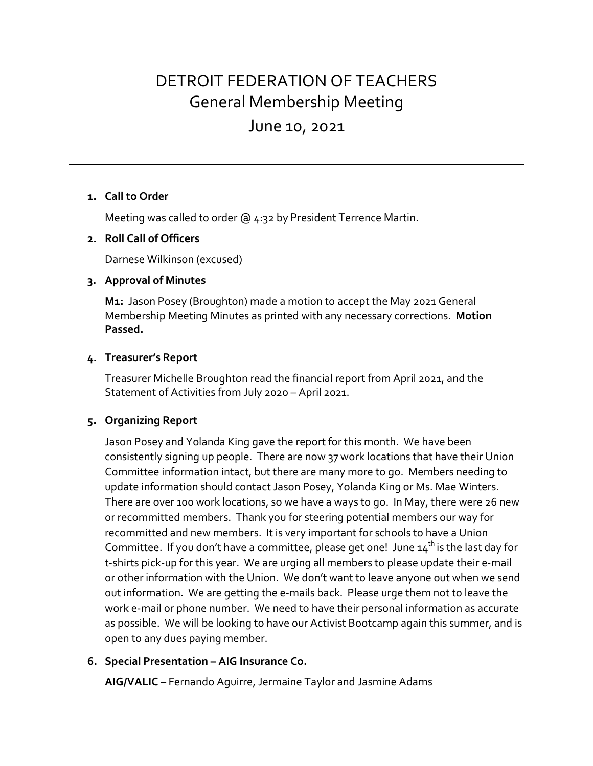# DETROIT FEDERATION OF TEACHERS General Membership Meeting

# June 10, 2021

#### **1. Call to Order**

Meeting was called to order @ 4:32 by President Terrence Martin.

#### **2. Roll Call of Officers**

Darnese Wilkinson (excused)

#### **3. Approval of Minutes**

**M1:** Jason Posey (Broughton) made a motion to accept the May 2021 General Membership Meeting Minutes as printed with any necessary corrections. **Motion Passed.**

#### **4. Treasurer's Report**

Treasurer Michelle Broughton read the financial report from April 2021, and the Statement of Activities from July 2020 – April 2021.

#### **5. Organizing Report**

Jason Posey and Yolanda King gave the report for this month. We have been consistently signing up people. There are now 37 work locations that have their Union Committee information intact, but there are many more to go. Members needing to update information should contact Jason Posey, Yolanda King or Ms. Mae Winters. There are over 100 work locations, so we have a ways to go. In May, there were 26 new or recommitted members. Thank you for steering potential members our way for recommitted and new members. It is very important for schools to have a Union Committee. If you don't have a committee, please get one! June  $14^{th}$  is the last day for t-shirts pick-up for this year. We are urging all members to please update their e-mail or other information with the Union. We don't want to leave anyone out when we send out information. We are getting the e-mails back. Please urge them not to leave the work e-mail or phone number. We need to have their personal information as accurate as possible. We will be looking to have our Activist Bootcamp again this summer, and is open to any dues paying member.

#### **6. Special Presentation – AIG Insurance Co.**

**AIG/VALIC –** Fernando Aguirre, Jermaine Taylor and Jasmine Adams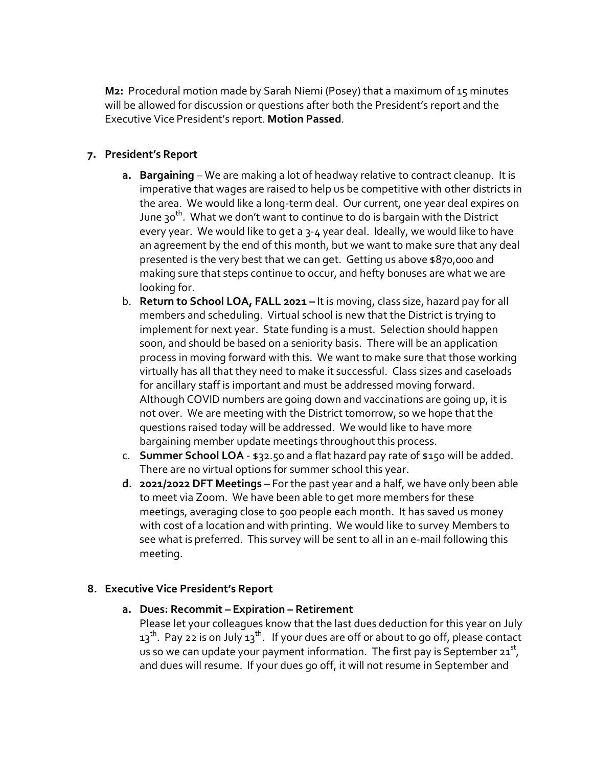**M2:** Procedural motion made by Sarah Niemi (Posey) that a maximum of 15 minutes will be allowed for discussion or questions after both the President's report and the Executive Vice President's report. **Motion Passed**.

### **7. President's Report**

- **a. Bargaining** We are making a lot of headway relative to contract cleanup. It is imperative that wages are raised to help us be competitive with other districts in the area. We would like a long-term deal. Our current, one year deal expires on June 30<sup>th</sup>. What we don't want to continue to do is bargain with the District every year. We would like to get a 3-4 year deal. Ideally, we would like to have an agreement by the end of this month, but we want to make sure that any deal presented is the very best that we can get. Getting us above \$870,000 and making sure that steps continue to occur, and hefty bonuses are what we are looking for.
- b. **Return to School LOA, FALL 2021 –** It is moving, class size, hazard pay for all members and scheduling. Virtual school is new that the District is trying to implement for next year. State funding is a must. Selection should happen soon, and should be based on a seniority basis. There will be an application process in moving forward with this. We want to make sure that those working virtually has all that they need to make it successful. Class sizes and caseloads for ancillary staff is important and must be addressed moving forward. Although COVID numbers are going down and vaccinations are going up, it is not over. We are meeting with the District tomorrow, so we hope that the questions raised today will be addressed. We would like to have more bargaining member update meetings throughout this process.
- c. **Summer School LOA** \$32.50 and a flat hazard pay rate of \$150 will be added. There are no virtual options for summer school this year.
- **d. 2021/2022 DFT Meetings** For the past year and a half, we have only been able to meet via Zoom. We have been able to get more members for these meetings, averaging close to 500 people each month. It has saved us money with cost of a location and with printing. We would like to survey Members to see what is preferred. This survey will be sent to all in an e-mail following this meeting.

#### **8. Executive Vice President's Report**

**a. Dues: Recommit – Expiration – Retirement**

Please let your colleagues know that the last dues deduction for this year on July  $13<sup>th</sup>$ . Pay 22 is on July  $13<sup>th</sup>$ . If your dues are off or about to go off, please contact us so we can update your payment information. The first pay is September  $21^{st}$ , and dues will resume. If your dues go off, it will not resume in September and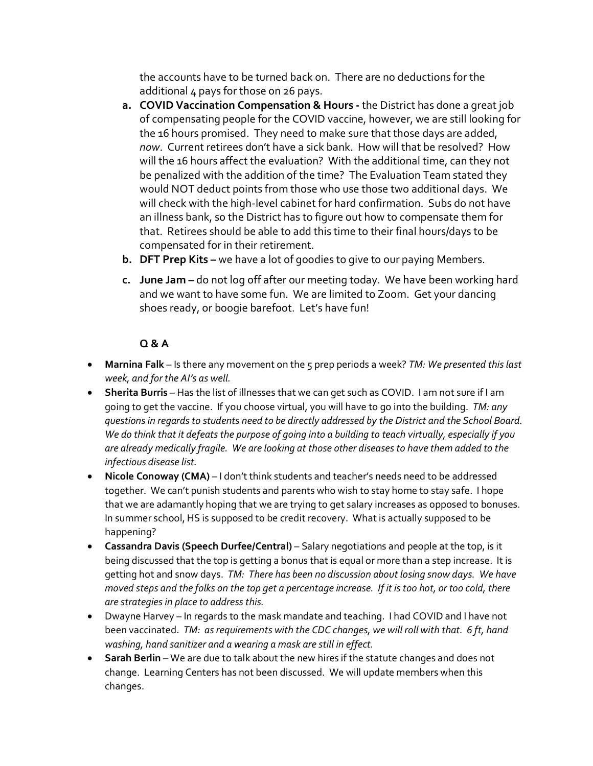the accounts have to be turned back on. There are no deductions for the additional 4 pays for those on 26 pays.

- **a. COVID Vaccination Compensation & Hours -** the District has done a great job of compensating people for the COVID vaccine, however, we are still looking for the 16 hours promised. They need to make sure that those days are added, *now*. Current retirees don't have a sick bank. How will that be resolved? How will the 16 hours affect the evaluation? With the additional time, can they not be penalized with the addition of the time? The Evaluation Team stated they would NOT deduct points from those who use those two additional days. We will check with the high-level cabinet for hard confirmation. Subs do not have an illness bank, so the District has to figure out how to compensate them for that. Retirees should be able to add this time to their final hours/days to be compensated for in their retirement.
- **b. DFT Prep Kits –** we have a lot of goodies to give to our paying Members.
- **c. June Jam –** do not log off after our meeting today. We have been working hard and we want to have some fun. We are limited to Zoom. Get your dancing shoes ready, or boogie barefoot. Let's have fun!

# **Q & A**

- **Marnina Falk** Is there any movement on the 5 prep periods a week? *TM: We presented this last week, and for the AI's as well.*
- **Sherita Burris** Has the list of illnesses that we can get such as COVID. I am not sure if I am going to get the vaccine. If you choose virtual, you will have to go into the building. *TM: any questions in regards to students need to be directly addressed by the District and the School Board. We do think that it defeats the purpose of going into a building to teach virtually, especially if you are already medically fragile. We are looking at those other diseases to have them added to the infectious disease list.*
- **Nicole Conoway (CMA)** I don't think students and teacher's needs need to be addressed together. We can't punish students and parents who wish to stay home to stay safe. I hope that we are adamantly hoping that we are trying to get salary increases as opposed to bonuses. In summer school, HS is supposed to be credit recovery. What is actually supposed to be happening?
- **Cassandra Davis (Speech Durfee/Central)** Salary negotiations and people at the top, is it being discussed that the top is getting a bonus that is equal or more than a step increase. It is getting hot and snow days. *TM: There has been no discussion about losing snow days. We have moved steps and the folks on the top get a percentage increase. If it is too hot, or too cold, there are strategies in place to address this.*
- Dwayne Harvey In regards to the mask mandate and teaching. I had COVID and I have not been vaccinated. *TM: as requirements with the CDC changes, we will roll with that. 6 ft, hand washing, hand sanitizer and a wearing a mask are still in effect.*
- **Sarah Berlin** We are due to talk about the new hires if the statute changes and does not change. Learning Centers has not been discussed. We will update members when this changes.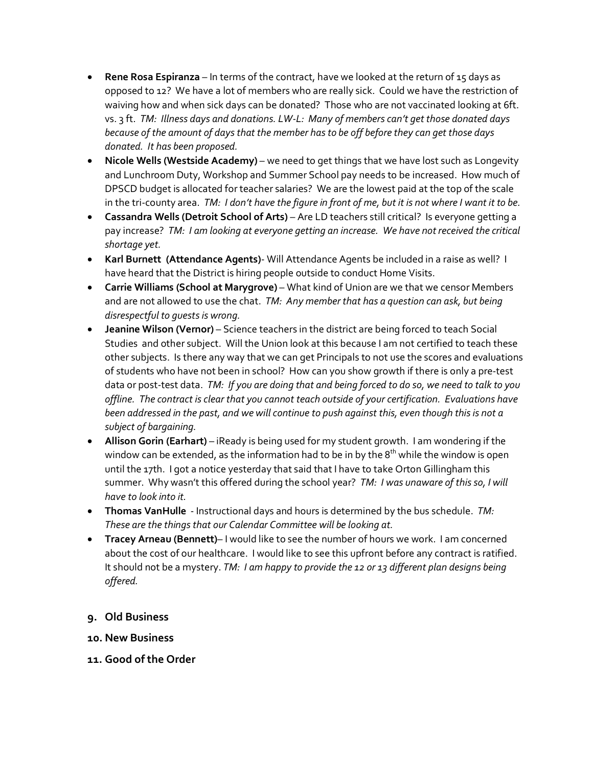- **Rene Rosa Espiranza** In terms of the contract, have we looked at the return of 15 days as opposed to 12? We have a lot of members who are really sick. Could we have the restriction of waiving how and when sick days can be donated? Those who are not vaccinated looking at 6ft. vs. 3 ft. *TM: Illness days and donations. LW-L: Many of members can't get those donated days because of the amount of days that the member has to be off before they can get those days donated. It has been proposed.*
- **Nicole Wells (Westside Academy)** we need to get things that we have lost such as Longevity and Lunchroom Duty, Workshop and Summer School pay needs to be increased. How much of DPSCD budget is allocated for teacher salaries? We are the lowest paid at the top of the scale in the tri-county area. *TM: I don't have the figure in front of me, but it is not where I want it to be.*
- **Cassandra Wells (Detroit School of Arts)**  Are LD teachers still critical? Is everyone getting a pay increase? *TM: I am looking at everyone getting an increase. We have not received the critical shortage yet.*
- **Karl Burnett (Attendance Agents)** Will Attendance Agents be included in a raise as well? I have heard that the District is hiring people outside to conduct Home Visits.
- **Carrie Williams (School at Marygrove)** What kind of Union are we that we censor Members and are not allowed to use the chat. *TM: Any member that has a question can ask, but being disrespectful to guests is wrong.*
- **Jeanine Wilson (Vernor)** Science teachers in the district are being forced to teach Social Studies and other subject. Will the Union look at this because I am not certified to teach these other subjects. Is there any way that we can get Principals to not use the scores and evaluations of students who have not been in school? How can you show growth if there is only a pre-test data or post-test data. *TM: If you are doing that and being forced to do so, we need to talk to you offline. The contract is clear that you cannot teach outside of your certification. Evaluations have been addressed in the past, and we will continue to push against this, even though this is not a subject of bargaining.*
- **Allison Gorin (Earhart)** iReady is being used for my student growth. I am wondering if the window can be extended, as the information had to be in by the  $8<sup>th</sup>$  while the window is open until the 17th. I got a notice yesterday that said that I have to take Orton Gillingham this summer. Why wasn't this offered during the school year? *TM: I was unaware of this so, I will have to look into it.*
- **Thomas VanHulle** Instructional days and hours is determined by the bus schedule. *TM: These are the things that our Calendar Committee will be looking at.*
- **Tracey Arneau (Bennett)** I would like to see the number of hours we work. I am concerned about the cost of our healthcare. I would like to see this upfront before any contract is ratified. It should not be a mystery. *TM: I am happy to provide the 12 or 13 different plan designs being offered.*
- **9. Old Business**
- **10. New Business**
- **11. Good of the Order**